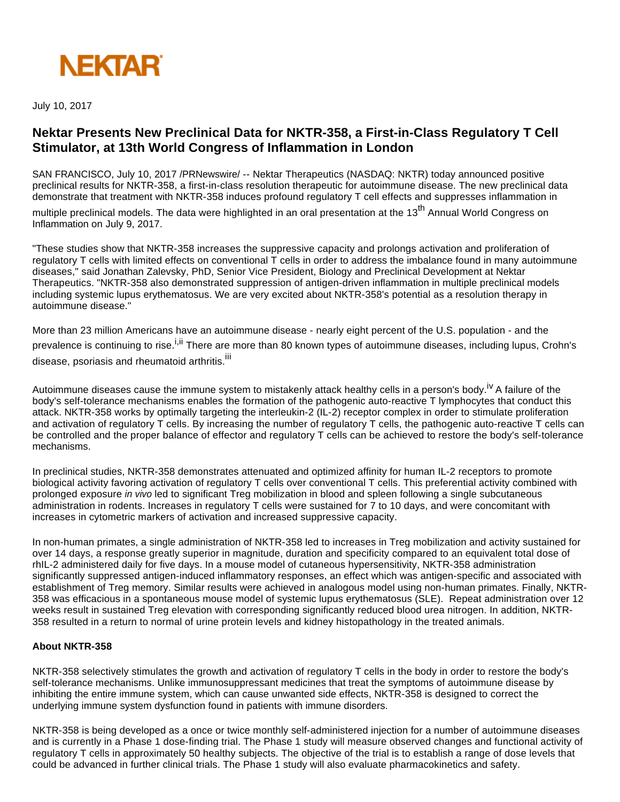

July 10, 2017

# **Nektar Presents New Preclinical Data for NKTR-358, a First-in-Class Regulatory T Cell Stimulator, at 13th World Congress of Inflammation in London**

SAN FRANCISCO, July 10, 2017 /PRNewswire/ -- Nektar Therapeutics (NASDAQ: NKTR) today announced positive preclinical results for NKTR-358, a first-in-class resolution therapeutic for autoimmune disease. The new preclinical data demonstrate that treatment with NKTR-358 induces profound regulatory T cell effects and suppresses inflammation in

multiple preclinical models. The data were highlighted in an oral presentation at the 13<sup>th</sup> Annual World Congress on Inflammation on July 9, 2017.

"These studies show that NKTR-358 increases the suppressive capacity and prolongs activation and proliferation of regulatory T cells with limited effects on conventional T cells in order to address the imbalance found in many autoimmune diseases," said Jonathan Zalevsky, PhD, Senior Vice President, Biology and Preclinical Development at Nektar Therapeutics. "NKTR-358 also demonstrated suppression of antigen-driven inflammation in multiple preclinical models including systemic lupus erythematosus. We are very excited about NKTR-358's potential as a resolution therapy in autoimmune disease."

More than 23 million Americans have an autoimmune disease - nearly eight percent of the U.S. population - and the prevalence is continuing to rise.<sup>i,ii</sup> There are more than 80 known types of autoimmune diseases, including lupus, Crohn's disease, psoriasis and rheumatoid arthritis.<sup>iii</sup>

Autoimmune diseases cause the immune system to mistakenly attack healthy cells in a person's body.<sup>IV</sup> A failure of the body's self-tolerance mechanisms enables the formation of the pathogenic auto-reactive T lymphocytes that conduct this attack. NKTR-358 works by optimally targeting the interleukin-2 (IL-2) receptor complex in order to stimulate proliferation and activation of regulatory T cells. By increasing the number of regulatory T cells, the pathogenic auto-reactive T cells can be controlled and the proper balance of effector and regulatory T cells can be achieved to restore the body's self-tolerance mechanisms.

In preclinical studies, NKTR-358 demonstrates attenuated and optimized affinity for human IL-2 receptors to promote biological activity favoring activation of regulatory T cells over conventional T cells. This preferential activity combined with prolonged exposure in vivo led to significant Treg mobilization in blood and spleen following a single subcutaneous administration in rodents. Increases in regulatory T cells were sustained for 7 to 10 days, and were concomitant with increases in cytometric markers of activation and increased suppressive capacity.

In non-human primates, a single administration of NKTR-358 led to increases in Treg mobilization and activity sustained for over 14 days, a response greatly superior in magnitude, duration and specificity compared to an equivalent total dose of rhIL-2 administered daily for five days. In a mouse model of cutaneous hypersensitivity, NKTR-358 administration significantly suppressed antigen-induced inflammatory responses, an effect which was antigen-specific and associated with establishment of Treg memory. Similar results were achieved in analogous model using non-human primates. Finally, NKTR-358 was efficacious in a spontaneous mouse model of systemic lupus erythematosus (SLE). Repeat administration over 12 weeks result in sustained Treg elevation with corresponding significantly reduced blood urea nitrogen. In addition, NKTR-358 resulted in a return to normal of urine protein levels and kidney histopathology in the treated animals.

#### **About NKTR-358**

NKTR-358 selectively stimulates the growth and activation of regulatory T cells in the body in order to restore the body's self-tolerance mechanisms. Unlike immunosuppressant medicines that treat the symptoms of autoimmune disease by inhibiting the entire immune system, which can cause unwanted side effects, NKTR-358 is designed to correct the underlying immune system dysfunction found in patients with immune disorders.

NKTR-358 is being developed as a once or twice monthly self-administered injection for a number of autoimmune diseases and is currently in a Phase 1 dose-finding trial. The Phase 1 study will measure observed changes and functional activity of regulatory T cells in approximately 50 healthy subjects. The objective of the trial is to establish a range of dose levels that could be advanced in further clinical trials. The Phase 1 study will also evaluate pharmacokinetics and safety.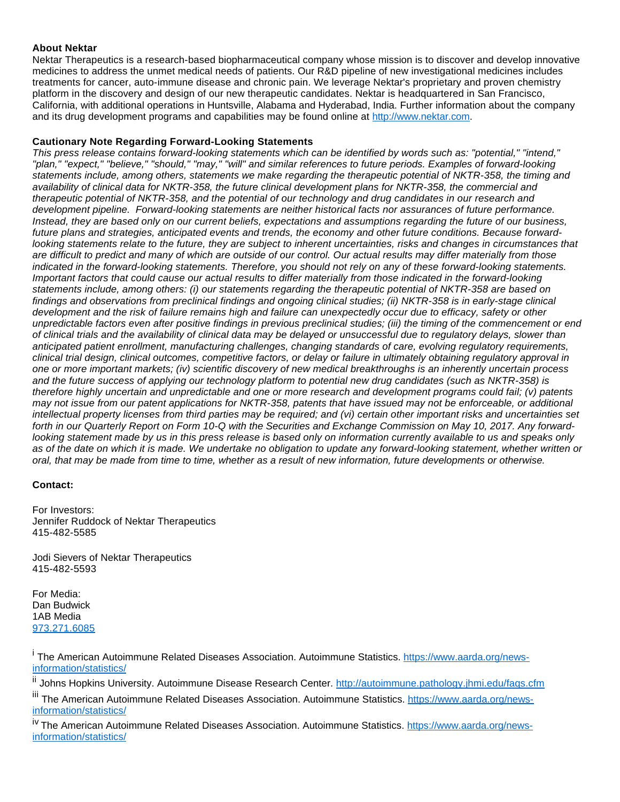### **About Nektar**

Nektar Therapeutics is a research-based biopharmaceutical company whose mission is to discover and develop innovative medicines to address the unmet medical needs of patients. Our R&D pipeline of new investigational medicines includes treatments for cancer, auto-immune disease and chronic pain. We leverage Nektar's proprietary and proven chemistry platform in the discovery and design of our new therapeutic candidates. Nektar is headquartered in San Francisco, California, with additional operations in Huntsville, Alabama and Hyderabad, India. Further information about the company and its drug development programs and capabilities may be found online at [http://www.nektar.com](http://www.nektar.com/).

## **Cautionary Note Regarding Forward-Looking Statements**

This press release contains forward-looking statements which can be identified by words such as: "potential," "intend," "plan," "expect," "believe," "should," "may," "will" and similar references to future periods. Examples of forward-looking statements include, among others, statements we make regarding the therapeutic potential of NKTR-358, the timing and availability of clinical data for NKTR-358, the future clinical development plans for NKTR-358, the commercial and therapeutic potential of NKTR-358, and the potential of our technology and drug candidates in our research and development pipeline. Forward-looking statements are neither historical facts nor assurances of future performance. Instead, they are based only on our current beliefs, expectations and assumptions regarding the future of our business, future plans and strategies, anticipated events and trends, the economy and other future conditions. Because forwardlooking statements relate to the future, they are subject to inherent uncertainties, risks and changes in circumstances that are difficult to predict and many of which are outside of our control. Our actual results may differ materially from those indicated in the forward-looking statements. Therefore, you should not rely on any of these forward-looking statements. Important factors that could cause our actual results to differ materially from those indicated in the forward-looking statements include, among others: (i) our statements regarding the therapeutic potential of NKTR-358 are based on findings and observations from preclinical findings and ongoing clinical studies; (ii) NKTR-358 is in early-stage clinical development and the risk of failure remains high and failure can unexpectedly occur due to efficacy, safety or other unpredictable factors even after positive findings in previous preclinical studies; (iii) the timing of the commencement or end of clinical trials and the availability of clinical data may be delayed or unsuccessful due to regulatory delays, slower than anticipated patient enrollment, manufacturing challenges, changing standards of care, evolving regulatory requirements, clinical trial design, clinical outcomes, competitive factors, or delay or failure in ultimately obtaining regulatory approval in one or more important markets; (iv) scientific discovery of new medical breakthroughs is an inherently uncertain process and the future success of applying our technology platform to potential new drug candidates (such as NKTR-358) is therefore highly uncertain and unpredictable and one or more research and development programs could fail; (v) patents may not issue from our patent applications for NKTR-358, patents that have issued may not be enforceable, or additional intellectual property licenses from third parties may be required; and (vi) certain other important risks and uncertainties set forth in our Quarterly Report on Form 10-Q with the Securities and Exchange Commission on May 10, 2017. Any forwardlooking statement made by us in this press release is based only on information currently available to us and speaks only as of the date on which it is made. We undertake no obligation to update any forward-looking statement, whether written or oral, that may be made from time to time, whether as a result of new information, future developments or otherwise.

### **Contact:**

For Investors: Jennifer Ruddock of Nektar Therapeutics 415-482-5585

Jodi Sievers of Nektar Therapeutics 415-482-5593

For Media: Dan Budwick 1AB Media [973.271.6085](tel:(973)%20271-6085)

<sup>i</sup> The American Autoimmune Related Diseases Association. Autoimmune Statistics. [https://www.aarda.org/news](https://www.aarda.org/news-information/statistics/)[information/statistics/](https://www.aarda.org/news-information/statistics/)

<sup>ii</sup> Johns Hopkins University. Autoimmune Disease Research Center. http://autoimmune.pathology.jhmi.edu/faqs.cfm

<sup>iii</sup> The American Autoimmune Related Diseases Association. Autoimmune Statistics. [https://www.aarda.org/news](https://www.aarda.org/news-information/statistics/)[information/statistics/](https://www.aarda.org/news-information/statistics/)

<sup>iv</sup> The American Autoimmune Related Diseases Association. Autoimmune Statistics. [https://www.aarda.org/news](https://www.aarda.org/news-information/statistics/)[information/statistics/](https://www.aarda.org/news-information/statistics/)